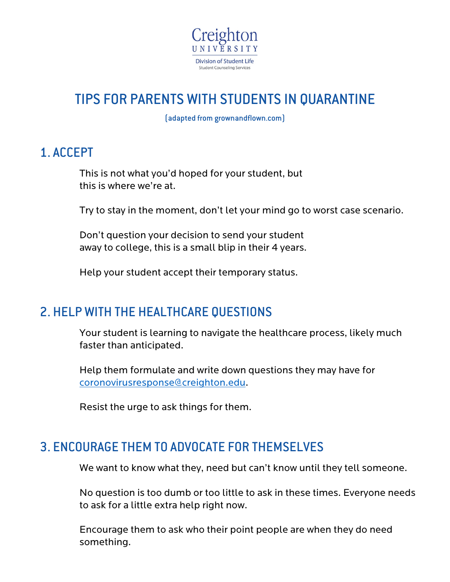

# TIPS FOR PARENTS WITH STUDENTS IN QUARANTINE

(adapted from grownandflown.com)

### 1. ACCEPT

This is not what you'd hoped for your student, but this is where we're at.

Try to stay in the moment, don't let your mind go to worst case scenario.

Don't question your decision to send your student away to college, this is a small blip in their 4 years.

Help your student accept their temporary status.

#### 2. HELP WITH THE HEALTHCARE QUESTIONS

Your student is learning to navigate the healthcare process, likely much faster than anticipated.

Help them formulate and write down questions they may have for coronovirusresponse@creighton.edu.

Resist the urge to ask things for them.

#### 3. ENCOURAGE THEM TO ADVOCATE FOR THEMSELVES

We want to know what they, need but can't know until they tell someone.

No question is too dumb or too little to ask in these times. Everyone needs to ask for a little extra help right now.

Encourage them to ask who their point people are when they do need something.